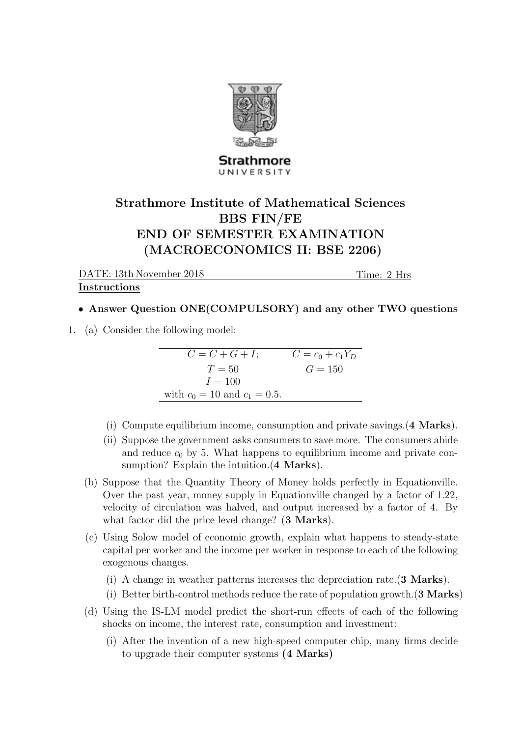

## Strathmore UNIVERSITY

## Strathmore Institute of Mathematical Sciences BBS FIN/FE END OF SEMESTER EXAMINATION (MACROECONOMICS II: BSE 2206)

DATE: 13th November 2018

Time: 2 Hrs

## Instructions

## • Answer Question ONE(COMPULSORY) and any other TWO questions

1. (a) Consider the following model:

$$
C = C + G + I; \t C = c_0 + c_1 Y_D
$$
  
\n
$$
T = 50 \t G = 150
$$
  
\n
$$
I = 100
$$
  
\nwith  $c_0 = 10$  and  $c_1 = 0.5$ .

- (i) Compute equilibrium income, consumption and private savings.(4 Marks).
- (ii) Suppose the government asks consumers to save more. The consumers abide and reduce  $c_0$  by 5. What happens to equilibrium income and private consumption? Explain the intuition. (4 Marks).
- (b) Suppose that the Quantity Theory of Money holds perfectly in Equationville. Over the past year, money supply in Equationville changed by a factor of 1.22, velocity of circulation was halved, and output increased by a factor of 4. By what factor did the price level change? (3 Marks).
- (c) Using Solow model of economic growth, explain what happens to steady-state capital per worker and the income per worker in response to each of the following exogenous changes.
	- (i) A change in weather patterns increases the depreciation rate.(3 Marks).
	- (i) Better birth-control methods reduce the rate of population growth.(3 Marks)
- (d) Using the IS-LM model predict the short-run effects of each of the following shocks on income, the interest rate, consumption and investment:
	- (i) After the invention of a new high-speed computer chip, many firms decide to upgrade their computer systems (4 Marks)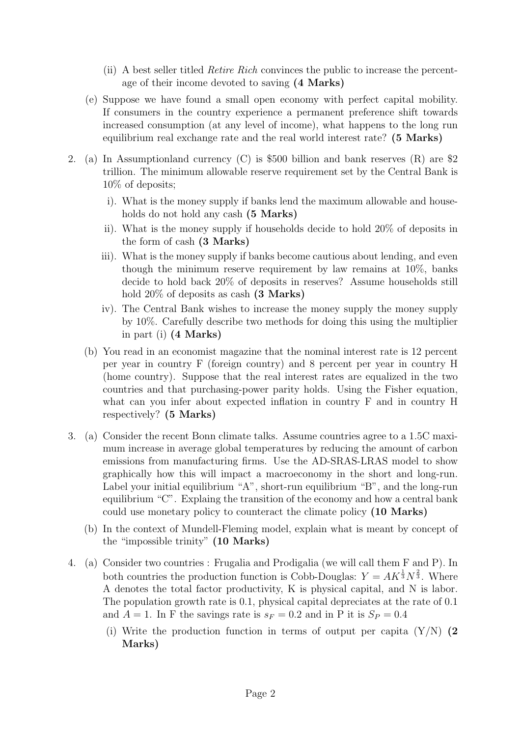- (ii) A best seller titled Retire Rich convinces the public to increase the percentage of their income devoted to saving (4 Marks)
- (e) Suppose we have found a small open economy with perfect capital mobility. If consumers in the country experience a permanent preference shift towards increased consumption (at any level of income), what happens to the long run equilibrium real exchange rate and the real world interest rate? (5 Marks)
- 2. (a) In Assumptionland currency (C) is \$500 billion and bank reserves (R) are \$2 trillion. The minimum allowable reserve requirement set by the Central Bank is 10% of deposits;
	- i). What is the money supply if banks lend the maximum allowable and households do not hold any cash (5 Marks)
	- ii). What is the money supply if households decide to hold 20% of deposits in the form of cash (3 Marks)
	- iii). What is the money supply if banks become cautious about lending, and even though the minimum reserve requirement by law remains at 10%, banks decide to hold back 20% of deposits in reserves? Assume households still hold  $20\%$  of deposits as cash  $(3 \text{ Marks})$
	- iv). The Central Bank wishes to increase the money supply the money supply by 10%. Carefully describe two methods for doing this using the multiplier in part (i) (4 Marks)
	- (b) You read in an economist magazine that the nominal interest rate is 12 percent per year in country F (foreign country) and 8 percent per year in country H (home country). Suppose that the real interest rates are equalized in the two countries and that purchasing-power parity holds. Using the Fisher equation, what can you infer about expected inflation in country F and in country H respectively? (5 Marks)
- 3. (a) Consider the recent Bonn climate talks. Assume countries agree to a 1.5C maximum increase in average global temperatures by reducing the amount of carbon emissions from manufacturing firms. Use the AD-SRAS-LRAS model to show graphically how this will impact a macroeconomy in the short and long-run. Label your initial equilibrium "A", short-run equilibrium "B", and the long-run equilibrium "C". Explaing the transition of the economy and how a central bank could use monetary policy to counteract the climate policy (10 Marks)
	- (b) In the context of Mundell-Fleming model, explain what is meant by concept of the "impossible trinity" (10 Marks)
- 4. (a) Consider two countries : Frugalia and Prodigalia (we will call them F and P). In both countries the production function is Cobb-Douglas:  $Y = AK^{\frac{1}{3}}N^{\frac{2}{3}}$ . Where A denotes the total factor productivity, K is physical capital, and N is labor. The population growth rate is 0.1, physical capital depreciates at the rate of 0.1 and  $A = 1$ . In F the savings rate is  $s_F = 0.2$  and in P it is  $S_P = 0.4$ 
	- (i) Write the production function in terms of output per capita  $(Y/N)$  (2) Marks)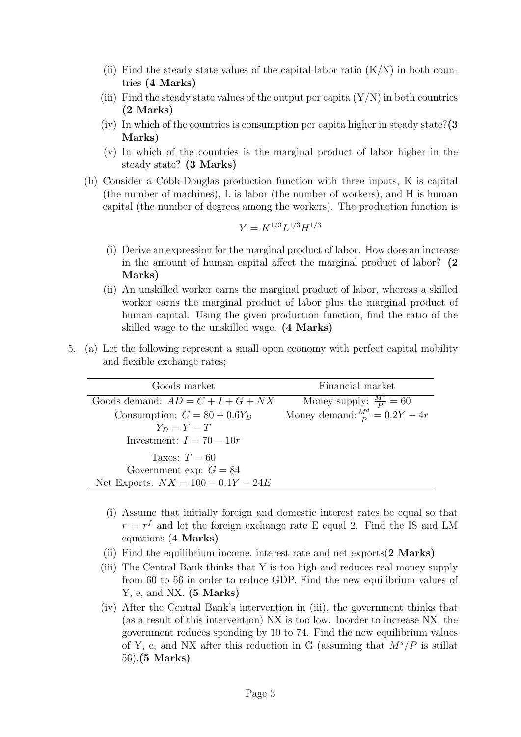- (ii) Find the steady state values of the capital-labor ratio  $(K/N)$  in both countries (4 Marks)
- (iii) Find the steady state values of the output per capita  $(Y/N)$  in both countries (2 Marks)
- (iv) In which of the countries is consumption per capita higher in steady state? $(3)$ Marks)
- (v) In which of the countries is the marginal product of labor higher in the steady state? (3 Marks)
- (b) Consider a Cobb-Douglas production function with three inputs, K is capital (the number of machines), L is labor (the number of workers), and H is human capital (the number of degrees among the workers). The production function is

$$
Y = K^{1/3} L^{1/3} H^{1/3}
$$

- (i) Derive an expression for the marginal product of labor. How does an increase in the amount of human capital affect the marginal product of labor? (2 Marks)
- (ii) An unskilled worker earns the marginal product of labor, whereas a skilled worker earns the marginal product of labor plus the marginal product of human capital. Using the given production function, find the ratio of the skilled wage to the unskilled wage. (4 Marks)
- 5. (a) Let the following represent a small open economy with perfect capital mobility and flexible exchange rates;

| Goods market                         | Financial market                          |
|--------------------------------------|-------------------------------------------|
| Goods demand: $AD = C + I + G + NX$  | Money supply: $\frac{M^s}{P} = 60$        |
| Consumption: $C = 80 + 0.6Y_D$       | Money demand: $\frac{M^d}{P} = 0.2Y - 4r$ |
| $Y_D = Y - T$                        |                                           |
| Investment: $I = 70 - 10r$           |                                           |
| Taxes: $T = 60$                      |                                           |
| Government exp: $G = 84$             |                                           |
| Net Exports: $NX = 100 - 0.1Y - 24E$ |                                           |

- (i) Assume that initially foreign and domestic interest rates be equal so that  $r = r<sup>f</sup>$  and let the foreign exchange rate E equal 2. Find the IS and LM equations (4 Marks)
- (ii) Find the equilibrium income, interest rate and net exports(2 Marks)
- (iii) The Central Bank thinks that Y is too high and reduces real money supply from 60 to 56 in order to reduce GDP. Find the new equilibrium values of Y, e, and NX. (5 Marks)
- (iv) After the Central Bank's intervention in (iii), the government thinks that (as a result of this intervention) NX is too low. Inorder to increase NX, the government reduces spending by 10 to 74. Find the new equilibrium values of Y, e, and NX after this reduction in G (assuming that  $M^{s}/P$  is stillat 56).(5 Marks)